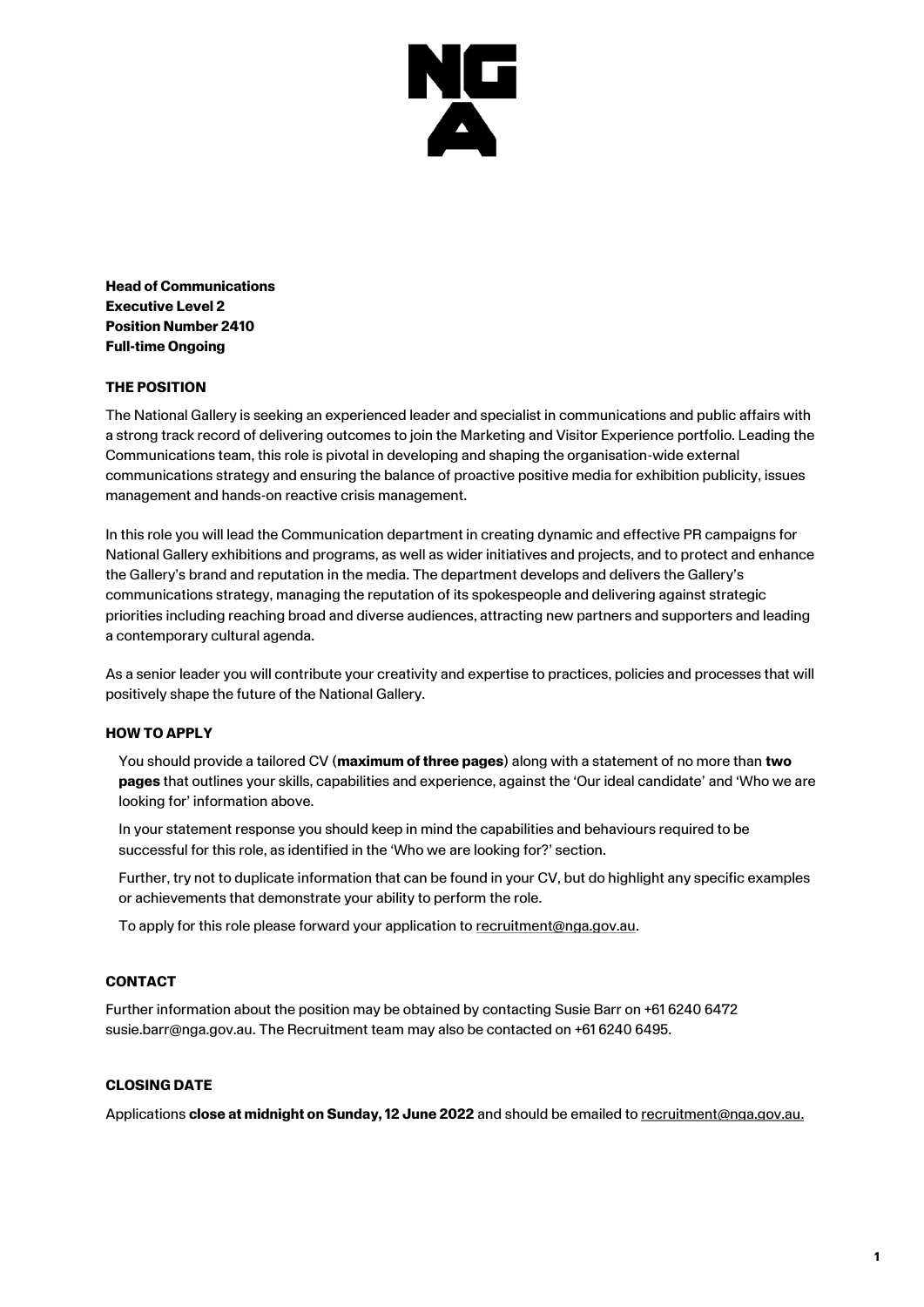

**Head of Communications Executive Level 2 Position Number 2410 Full-time Ongoing**

# **THE POSITION**

The National Gallery is seeking an experienced leader and specialist in communications and public affairs with a strong track record of delivering outcomes to join the Marketing and Visitor Experience portfolio. Leading the Communications team, this role is pivotal in developing and shaping the organisation-wide external communications strategy and ensuring the balance of proactive positive media for exhibition publicity, issues management and hands-on reactive crisis management.

In this role you will lead the Communication department in creating dynamic and effective PR campaigns for National Gallery exhibitions and programs, as well as wider initiatives and projects, and to protect and enhance the Gallery's brand and reputation in the media. The department develops and delivers the Gallery's communications strategy, managing the reputation of its spokespeople and delivering against strategic priorities including reaching broad and diverse audiences, attracting new partners and supporters and leading a contemporary cultural agenda.

As a senior leader you will contribute your creativity and expertise to practices, policies and processes that will positively shape the future of the National Gallery.

## **HOW TO APPLY**

You should provide a tailored CV (**maximum of three pages**) along with a statement of no more than **two pages** that outlines your skills, capabilities and experience, against the 'Our ideal candidate' and 'Who we are looking for' information above.

In your statement response you should keep in mind the capabilities and behaviours required to be successful for this role, as identified in the 'Who we are looking for?' section.

Further, try not to duplicate information that can be found in your CV, but do highlight any specific examples or achievements that demonstrate your ability to perform the role.

To apply for this role please forward your application to [recruitment@nga.gov.au.](mailto:recruitment@nga.gov.au)

## **CONTACT**

Further information about the position may be obtained by contacting Susie Barr on +61 6240 6472 susie.barr@nga.gov.au. The Recruitment team may also be contacted on +61 6240 6495.

# **CLOSING DATE**

Applications **close at midnight on Sunday, 12 June 2022** and should be emailed t[o recruitment@nga.gov.au.](file://///NGAVFS02/Groups/PubAffairs/29.%20Studio%20Ongarato/__REBRAND/HR/recruitment@nga.gov.au)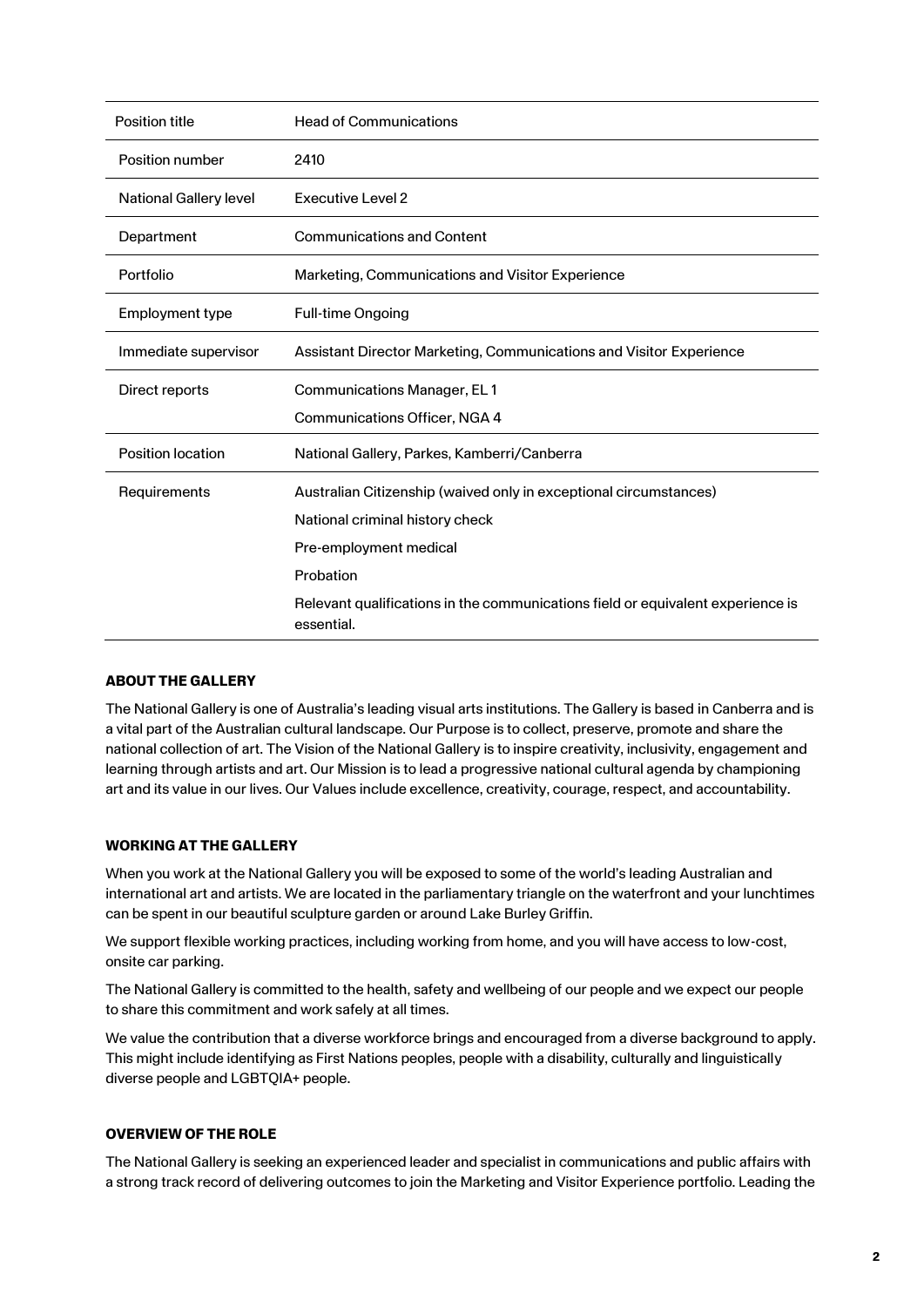| Position title                | <b>Head of Communications</b>                                                                 |
|-------------------------------|-----------------------------------------------------------------------------------------------|
| Position number               | 2410                                                                                          |
| <b>National Gallery level</b> | <b>Executive Level 2</b>                                                                      |
| Department                    | <b>Communications and Content</b>                                                             |
| Portfolio                     | Marketing, Communications and Visitor Experience                                              |
| Employment type               | <b>Full-time Ongoing</b>                                                                      |
| Immediate supervisor          | Assistant Director Marketing, Communications and Visitor Experience                           |
| Direct reports                | <b>Communications Manager, EL1</b>                                                            |
|                               | Communications Officer, NGA 4                                                                 |
| <b>Position location</b>      | National Gallery, Parkes, Kamberri/Canberra                                                   |
| Requirements                  | Australian Citizenship (waived only in exceptional circumstances)                             |
|                               | National criminal history check                                                               |
|                               | Pre-employment medical                                                                        |
|                               | Probation                                                                                     |
|                               | Relevant qualifications in the communications field or equivalent experience is<br>essential. |

## **ABOUT THE GALLERY**

The National Gallery is one of Australia's leading visual arts institutions. The Gallery is based in Canberra and is a vital part of the Australian cultural landscape. Our Purpose is to collect, preserve, promote and share the national collection of art. The Vision of the National Gallery is to inspire creativity, inclusivity, engagement and learning through artists and art. Our Mission is to lead a progressive national cultural agenda by championing art and its value in our lives. Our Values include excellence, creativity, courage, respect, and accountability.

## **WORKING AT THE GALLERY**

When you work at the National Gallery you will be exposed to some of the world's leading Australian and international art and artists. We are located in the parliamentary triangle on the waterfront and your lunchtimes can be spent in our beautiful sculpture garden or around Lake Burley Griffin.

We support flexible working practices, including working from home, and you will have access to low-cost, onsite car parking.

The National Gallery is committed to the health, safety and wellbeing of our people and we expect our people to share this commitment and work safely at all times.

We value the contribution that a diverse workforce brings and encouraged from a diverse background to apply. This might include identifying as First Nations peoples, people with a disability, culturally and linguistically diverse people and LGBTQIA+ people.

## **OVERVIEW OF THE ROLE**

The National Gallery is seeking an experienced leader and specialist in communications and public affairs with a strong track record of delivering outcomes to join the Marketing and Visitor Experience portfolio. Leading the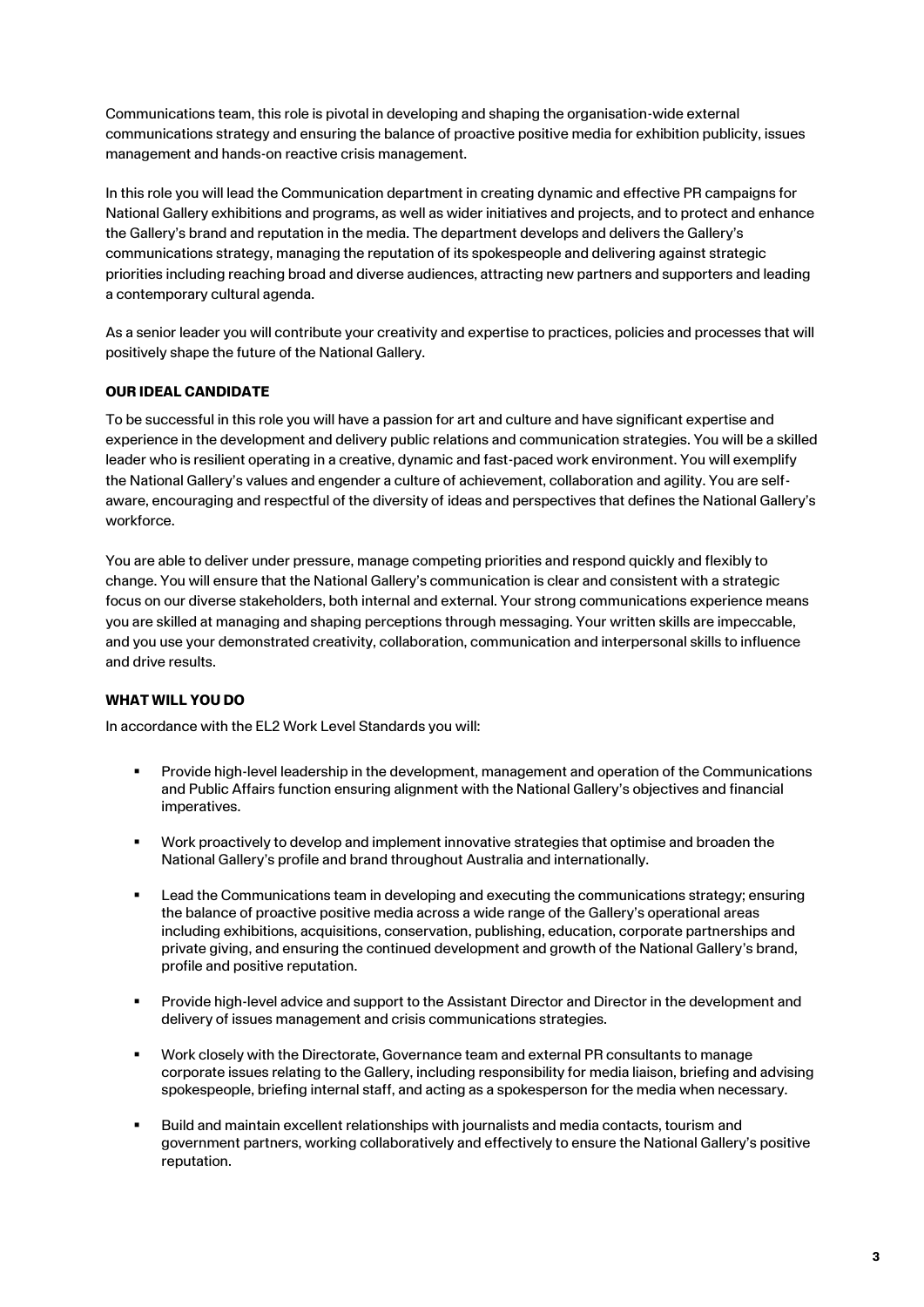Communications team, this role is pivotal in developing and shaping the organisation-wide external communications strategy and ensuring the balance of proactive positive media for exhibition publicity, issues management and hands-on reactive crisis management.

In this role you will lead the Communication department in creating dynamic and effective PR campaigns for National Gallery exhibitions and programs, as well as wider initiatives and projects, and to protect and enhance the Gallery's brand and reputation in the media. The department develops and delivers the Gallery's communications strategy, managing the reputation of its spokespeople and delivering against strategic priorities including reaching broad and diverse audiences, attracting new partners and supporters and leading a contemporary cultural agenda.

As a senior leader you will contribute your creativity and expertise to practices, policies and processes that will positively shape the future of the National Gallery.

# **OUR IDEAL CANDIDATE**

To be successful in this role you will have a passion for art and culture and have significant expertise and experience in the development and delivery public relations and communication strategies. You will be a skilled leader who is resilient operating in a creative, dynamic and fast-paced work environment. You will exemplify the National Gallery's values and engender a culture of achievement, collaboration and agility. You are selfaware, encouraging and respectful of the diversity of ideas and perspectives that defines the National Gallery's workforce.

You are able to deliver under pressure, manage competing priorities and respond quickly and flexibly to change. You will ensure that the National Gallery's communication is clear and consistent with a strategic focus on our diverse stakeholders, both internal and external. Your strong communications experience means you are skilled at managing and shaping perceptions through messaging. Your written skills are impeccable, and you use your demonstrated creativity, collaboration, communication and interpersonal skills to influence and drive results.

## **WHAT WILL YOU DO**

In accordance with the EL2 Work Level Standards you will:

- Provide high-level leadership in the development, management and operation of the Communications and Public Affairs function ensuring alignment with the National Gallery's objectives and financial imperatives.
- Work proactively to develop and implement innovative strategies that optimise and broaden the National Gallery's profile and brand throughout Australia and internationally.
- Lead the Communications team in developing and executing the communications strategy; ensuring the balance of proactive positive media across a wide range of the Gallery's operational areas including exhibitions, acquisitions, conservation, publishing, education, corporate partnerships and private giving, and ensuring the continued development and growth of the National Gallery's brand, profile and positive reputation.
- Provide high-level advice and support to the Assistant Director and Director in the development and delivery of issues management and crisis communications strategies.
- Work closely with the Directorate, Governance team and external PR consultants to manage corporate issues relating to the Gallery, including responsibility for media liaison, briefing and advising spokespeople, briefing internal staff, and acting as a spokesperson for the media when necessary.
- Build and maintain excellent relationships with journalists and media contacts, tourism and government partners, working collaboratively and effectively to ensure the National Gallery's positive reputation.